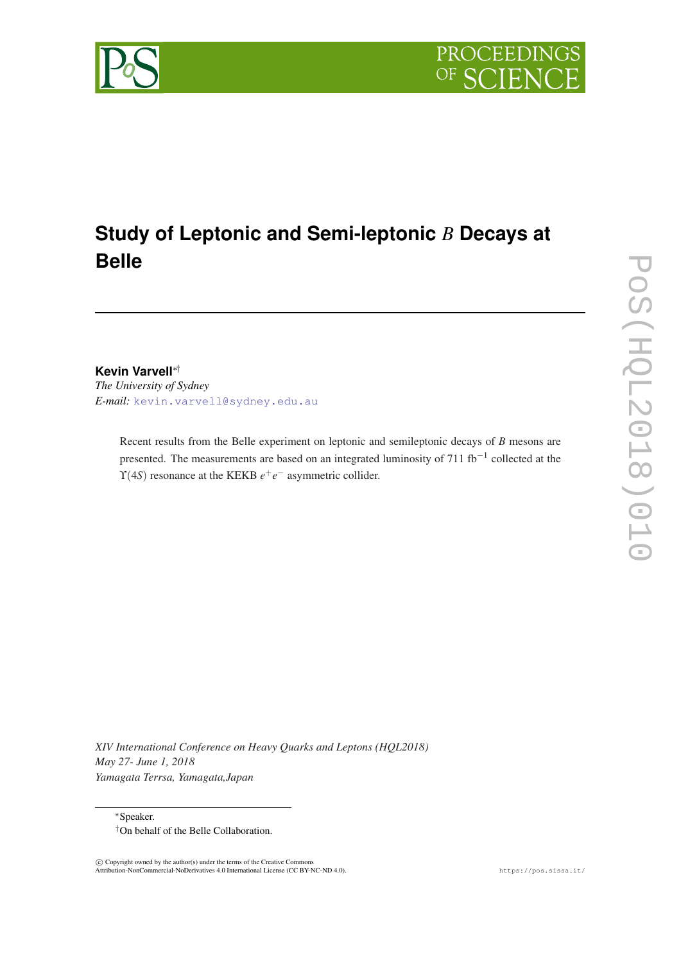

# **Study of Leptonic and Semi-leptonic** *B* **Decays at Belle**

# **Kevin Varvell**∗†

*The University of Sydney E-mail:* [kevin.varvell@sydney.edu.au](mailto:kevin.varvell@sydney.edu.au)

> Recent results from the Belle experiment on leptonic and semileptonic decays of *B* mesons are presented. The measurements are based on an integrated luminosity of 711 fb<sup>-1</sup> collected at the  $\Upsilon(4S)$  resonance at the KEKB  $e^+e^-$  asymmetric collider.

*XIV International Conference on Heavy Quarks and Leptons (HQL2018) May 27- June 1, 2018 Yamagata Terrsa, Yamagata,Japan*

<sup>∗</sup>Speaker. †On behalf of the Belle Collaboration.

 c Copyright owned by the author(s) under the terms of the Creative Commons Attribution-NonCommercial-NoDerivatives 4.0 International License (CC BY-NC-ND 4.0). https://pos.sissa.it/

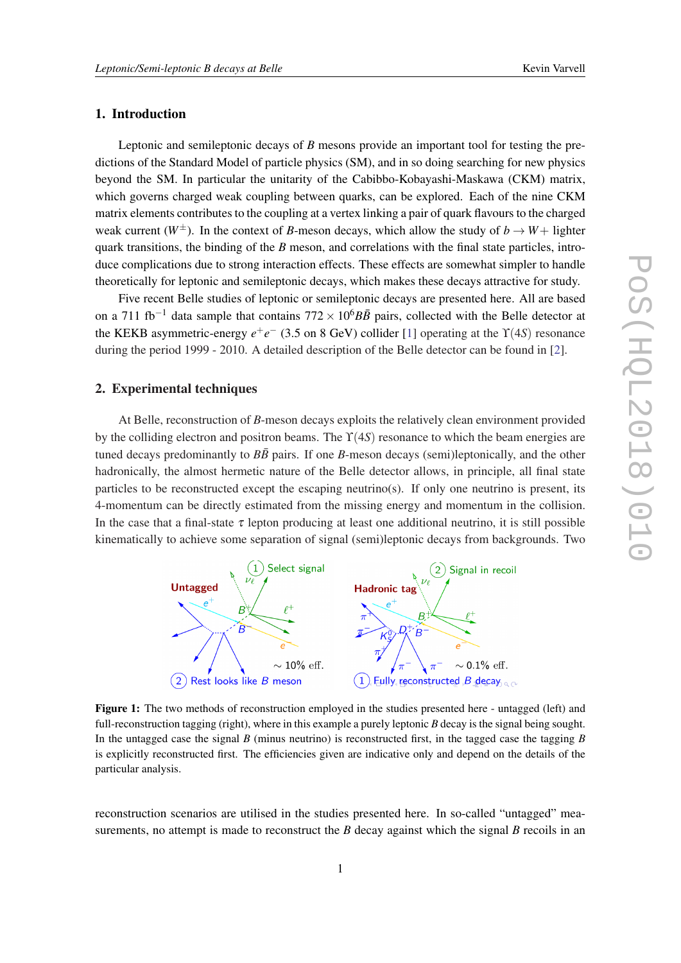#### <span id="page-1-0"></span>1. Introduction

Leptonic and semileptonic decays of *B* mesons provide an important tool for testing the predictions of the Standard Model of particle physics (SM), and in so doing searching for new physics beyond the SM. In particular the unitarity of the Cabibbo-Kobayashi-Maskawa (CKM) matrix, which governs charged weak coupling between quarks, can be explored. Each of the nine CKM matrix elements contributes to the coupling at a vertex linking a pair of quark flavours to the charged weak current ( $W^{\pm}$ ). In the context of *B*-meson decays, which allow the study of  $b \rightarrow W+$  lighter quark transitions, the binding of the  $B$  meson, and correlations with the final state particles, introduce complications due to strong interaction effects. These effects are somewhat simpler to handle theoretically for leptonic and semileptonic decays, which makes these decays attractive for study.

Five recent Belle studies of leptonic or semileptonic decays are presented here. All are based on a 711 fb<sup>-1</sup> data sample that contains  $772 \times 10^6 B\bar{B}$  pairs, collected with the Belle detector at the KEKB asymmetric-energy  $e^+e^-$  (3.5 on 8 GeV) collider [\[1\]](#page-7-0) operating at the Y(4*S*) resonance during the period 1999 - 2010. A detailed description of the Belle detector can be found in [[2\]](#page-7-0).

#### 2. Experimental techniques

At Belle, reconstruction of *B*-meson decays exploits the relatively clean environment provided by the colliding electron and positron beams. The  $\Upsilon(4S)$  resonance to which the beam energies are tuned decays predominantly to  $B\bar{B}$  pairs. If one *B*-meson decays (semi)leptonically, and the other hadronically, the almost hermetic nature of the Belle detector allows, in principle, all final state particles to be reconstructed except the escaping neutrino(s). If only one neutrino is present, its 4-momentum can be directly estimated from the missing energy and momentum in the collision. In the case that a final-state  $\tau$  lepton producing at least one additional neutrino, it is still possible kinematically to achieve some separation of signal (semi)leptonic decays from backgrounds. Two



Figure 1: The two methods of reconstruction employed in the studies presented here - untagged (left) and full-reconstruction tagging (right), where in this example a purely leptonic *B* decay is the signal being sought. In the untagged case the signal *B* (minus neutrino) is reconstructed first, in the tagged case the tagging *B* is explicitly reconstructed first. The efficiencies given are indicative only and depend on the details of the particular analysis.

reconstruction scenarios are utilised in the studies presented here. In so-called "untagged" measurements, no attempt is made to reconstruct the *B* decay against which the signal *B* recoils in an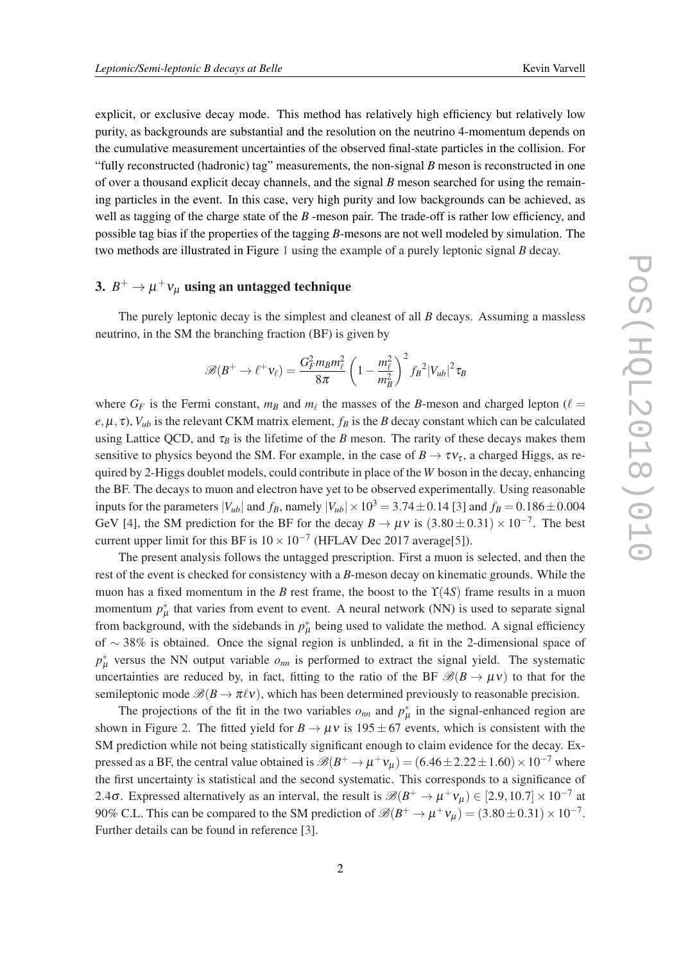explicit, or exclusive decay mode. This method has relatively high efficiency but relatively low purity, as backgrounds are substantial and the resolution on the neutrino 4-momentum depends on the cumulative measurement uncertainties of the observed final-state particles in the collision. For "fully reconstructed (hadronic) tag" measurements, the non-signal *B* meson is reconstructed in one of over a thousand explicit decay channels, and the signal *B* meson searched for using the remaining particles in the event. In this case, very high purity and low backgrounds can be achieved, as well as tagging of the charge state of the *B* -meson pair. The trade-off is rather low efficiency, and possible tag bias if the properties of the tagging *B*-mesons are not well modeled by simulation. The two methods are illustrated in Figure [1](#page-1-0) using the example of a purely leptonic signal *B* decay.

## 3.  $B^+ \to \mu^+ \nu_{\mu}$  using an untagged technique

The purely leptonic decay is the simplest and cleanest of all *B* decays. Assuming a massless neutrino, in the SM the branching fraction (BF) is given by

$$
\mathscr{B}(B^+\to \ell^+\nu_\ell)=\frac{G_F^2 m_B m_\ell^2}{8\pi}\left(1-\frac{m_\ell^2}{m_B^2}\right)^2 f_B^2 |V_{ub}|^2 \tau_B
$$

where  $G_F$  is the Fermi constant,  $m_B$  and  $m_\ell$  the masses of the *B*-meson and charged lepton ( $\ell =$  $e, \mu, \tau$ ),  $V_{ub}$  is the relevant CKM matrix element,  $f_B$  is the *B* decay constant which can be calculated using Lattice QCD, and  $\tau_B$  is the lifetime of the *B* meson. The rarity of these decays makes them sensitive to physics beyond the SM. For example, in the case of  $B \to \tau v_{\tau}$ , a charged Higgs, as required by 2-Higgs doublet models, could contribute in place of the *W* boson in the decay, enhancing the BF. The decays to muon and electron have yet to be observed experimentally. Using reasonable inputs for the parameters  $|V_{ub}|$  and  $f_B$ , namely  $|V_{ub}| \times 10^3 = 3.74 \pm 0.14$  $|V_{ub}| \times 10^3 = 3.74 \pm 0.14$  $|V_{ub}| \times 10^3 = 3.74 \pm 0.14$  [3] and  $f_B = 0.186 \pm 0.004$ GeV [[4](#page-7-0)], the SM prediction for the BF for the decay  $B \to \mu \nu$  is  $(3.80 \pm 0.31) \times 10^{-7}$ . The best current upper limit for this BF is  $10 \times 10^{-7}$  (HFLAV Dec 2017 average[[5](#page-7-0)]).

The present analysis follows the untagged prescription. First a muon is selected, and then the rest of the event is checked for consistency with a *B*-meson decay on kinematic grounds. While the muon has a fixed momentum in the *B* rest frame, the boost to the ϒ(4*S*) frame results in a muon momentum  $p^*_{\mu}$  that varies from event to event. A neural network (NN) is used to separate signal from background, with the sidebands in  $p^*_{\mu}$  being used to validate the method. A signal efficiency of ∼ 38% is obtained. Once the signal region is unblinded, a fit in the 2-dimensional space of  $p^*_{\mu}$  versus the NN output variable  $o_{nn}$  is performed to extract the signal yield. The systematic uncertainties are reduced by, in fact, fitting to the ratio of the BF  $\mathcal{B}(B \to \mu \nu)$  to that for the semileptonic mode  $\mathcal{B}(B \to \pi \ell \nu)$ , which has been determined previously to reasonable precision.

The projections of the fit in the two variables  $o_{nn}$  and  $p^*_{\mu}$  in the signal-enhanced region are shown in Figure [2](#page-3-0). The fitted yield for  $B \to \mu \nu$  is 195  $\pm$  67 events, which is consistent with the SM prediction while not being statistically significant enough to claim evidence for the decay. Expressed as a BF, the central value obtained is  $\mathscr{B}(B^+\to \mu^+\nu_\mu)=(6.46\pm 2.22\pm 1.60)\times 10^{-7}$  where the first uncertainty is statistical and the second systematic. This corresponds to a significance of 2.4 $\sigma$ . Expressed alternatively as an interval, the result is  $\mathscr{B}(B^+\to\mu^+\nu_\mu) \in [2.9, 10.7] \times 10^{-7}$  at 90% C.L. This can be compared to the SM prediction of  $\mathscr{B}(B^+ \to \mu^+ \nu_\mu) = (3.80 \pm 0.31) \times 10^{-7}$ . Further details can be found in reference [[3](#page-7-0)].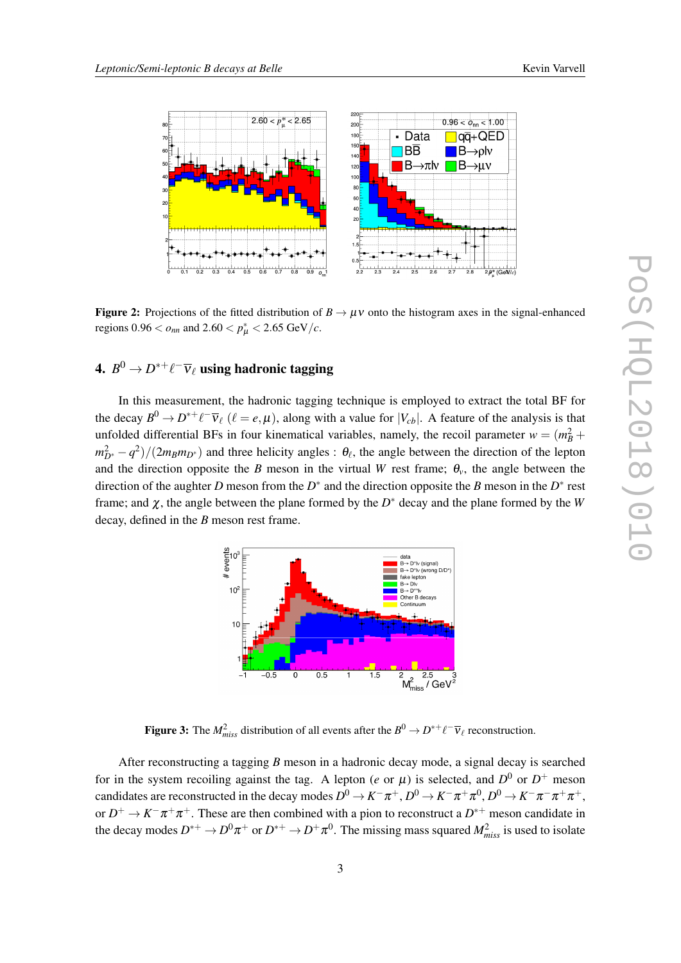<span id="page-3-0"></span>

**Figure 2:** Projections of the fitted distribution of  $B \to \mu \nu$  onto the histogram axes in the signal-enhanced regions  $0.96 < o_{nn}$  and  $2.60 < p^*_{\mu} < 2.65 \text{ GeV}/c$ .

### 4.  $B^0 \to D^{\ast +} \ell^- \overline{V}_\ell$  using hadronic tagging

In this measurement, the hadronic tagging technique is employed to extract the total BF for the decay  $B^0 \to D^{*+}\ell^-\overline{v}_\ell$  ( $\ell = e, \mu$ ), along with a value for  $|V_{cb}|$ . A feature of the analysis is that unfolded differential BFs in four kinematical variables, namely, the recoil parameter  $w = (m_B^2 + m_B^2)$  $(m_{D^*}^2 - q^2)/(2m_B m_{D^*})$  and three helicity angles :  $\theta_\ell$ , the angle between the direction of the lepton and the direction opposite the *B* meson in the virtual *W* rest frame;  $\theta_v$ , the angle between the direction of the aughter *D* meson from the  $D^*$  and the direction opposite the *B* meson in the  $D^*$  rest frame; and  $\chi$ , the angle between the plane formed by the  $D^*$  decay and the plane formed by the *W* decay, defined in the *B* meson rest frame.



**Figure 3:** The  $M_{miss}^2$  distribution of all events after the  $B^0 \to D^{*+} \ell^- \overline{\nu}_{\ell}$  reconstruction.

After reconstructing a tagging *B* meson in a hadronic decay mode, a signal decay is searched for in the system recoiling against the tag. A lepton (*e* or  $\mu$ ) is selected, and  $D^0$  or  $D^+$  meson candidates are reconstructed in the decay modes  $D^0\to K^-\pi^+, D^0\to K^-\pi^+\pi^0, D^0\to K^-\pi^-\pi^+\pi^+,$ or  $D^+ \to K^- \pi^+ \pi^+$ . These are then combined with a pion to reconstruct a  $D^{*+}$  meson candidate in the decay modes  $D^{*+}\to D^0\pi^+$  or  $D^{*+}\to D^+\pi^0$ . The missing mass squared  $M_{miss}^2$  is used to isolate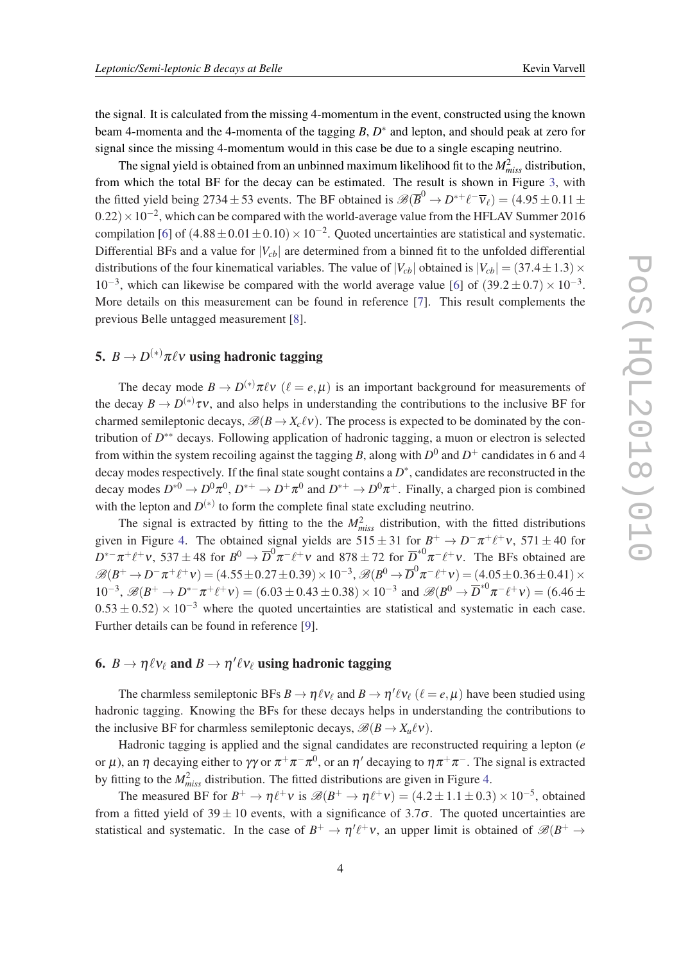the signal. It is calculated from the missing 4-momentum in the event, constructed using the known beam 4-momenta and the 4-momenta of the tagging *B*, *D*<sup>\*</sup> and lepton, and should peak at zero for signal since the missing 4-momentum would in this case be due to a single escaping neutrino.

The signal yield is obtained from an unbinned maximum likelihood fit to the  $M<sub>miss</sub><sup>2</sup>$  distribution, from which the total BF for the decay can be estimated. The result is shown in Figure [3,](#page-3-0) with the fitted yield being 2734  $\pm$  53 events. The BF obtained is  $\mathscr{B}(\overline{B}^0 \to D^{*+}\ell^-\overline{v}_{\ell}) = (4.95 \pm 0.11 \pm 0.0000)$  $(0.22) \times 10^{-2}$ , which can be compared with the world-average value from the HFLAV Summer 2016 compilation [[6](#page-7-0)] of  $(4.88 \pm 0.01 \pm 0.10) \times 10^{-2}$ . Quoted uncertainties are statistical and systematic. Differential BFs and a value for  $|V_{cb}|$  are determined from a binned fit to the unfolded differential distributions of the four kinematical variables. The value of  $|V_{cb}|$  obtained is  $|V_{cb}| = (37.4 \pm 1.3) \times$ 10<sup>-3</sup>, which can likewise be compared with the world average value [\[6\]](#page-7-0) of  $(39.2 \pm 0.7) \times 10^{-3}$ . More details on this measurement can be found in reference [\[7\]](#page-7-0). This result complements the previous Belle untagged measurement [\[8\]](#page-7-0).

#### 5.  $B \to D^{(*)} \pi \ell \nu$  using hadronic tagging

The decay mode  $B \to D^{(*)}\pi \ell v$  ( $\ell = e, \mu$ ) is an important background for measurements of the decay  $B \to D^{(*)}\tau v$ , and also helps in understanding the contributions to the inclusive BF for charmed semileptonic decays,  $\mathcal{B}(B \to X_c \ell v)$ . The process is expected to be dominated by the contribution of *D*<sup>\*\*</sup> decays. Following application of hadronic tagging, a muon or electron is selected from within the system recoiling against the tagging *B*, along with  $D^0$  and  $D^+$  candidates in 6 and 4 decay modes respectively. If the final state sought contains a  $D^*$ , candidates are reconstructed in the decay modes  $D^{*0} \to D^0 \pi^0$ ,  $D^{*+} \to D^+ \pi^0$  and  $D^{*+} \to D^0 \pi^+$ . Finally, a charged pion is combined with the lepton and  $D^{(*)}$  to form the complete final state excluding neutrino.

The signal is extracted by fitting to the the  $M<sub>miss</sub><sup>2</sup>$  distribution, with the fitted distributions given in Figure [4.](#page-5-0) The obtained signal yields are  $515 \pm 31$  for  $B^+ \to D^- \pi^+ \ell^+ \nu$ ,  $571 \pm 40$  for  $D^{*-}\pi^+\ell^+\nu$ , 537  $\pm$  48 for  $B^0 \to \overline{D}^0\pi^-\ell^+\nu$  and 878  $\pm$  72 for  $\overline{D}^{*0}\pi^-\ell^+\nu$ . The BFs obtained are  $\mathscr{B}(B^+\to D^-\pi^+\ell^+\nu)=(4.55\pm0.27\pm0.39)\times10^{-3}$ ,  $\mathscr{B}(B^0\to \overline{D}^0\pi^-\ell^+\nu)=(4.05\pm0.36\pm0.41)\times$ 10<sup>-3</sup>,  $\mathscr{B}(B^+ \to D^{*-}\pi^+\ell^+\nu) = (6.03 \pm 0.43 \pm 0.38) \times 10^{-3}$  and  $\mathscr{B}(B^0 \to \overline{D}^{*0}\pi^-\ell^+\nu) = (6.46 \pm 0.38) \times 10^{-3}$  $0.53 \pm 0.52 \times 10^{-3}$  where the quoted uncertainties are statistical and systematic in each case. Further details can be found in reference [[9](#page-7-0)].

### 6.  $B \to \eta \ell \nu_\ell$  and  $B \to \eta' \ell \nu_\ell$  using hadronic tagging

The charmless semileptonic BFs  $B \to \eta \ell v_{\ell}$  and  $B \to \eta' \ell v_{\ell}$  ( $\ell = e, \mu$ ) have been studied using hadronic tagging. Knowing the BFs for these decays helps in understanding the contributions to the inclusive BF for charmless semileptonic decays,  $\mathcal{B}(B \to X_u \ell v)$ .

Hadronic tagging is applied and the signal candidates are reconstructed requiring a lepton (*e* or μ), an η decaying either to γγ or  $\pi^+\pi^-\pi^0$ , or an  $\eta'$  decaying to  $\eta\pi^+\pi^-$ . The signal is extracted by fitting to the  $M<sub>miss</sub><sup>2</sup>$  distribution. The fitted distributions are given in Figure [4.](#page-5-0)

The measured BF for  $B^+ \to \eta \ell^+ \nu$  is  $\mathscr{B}(B^+ \to \eta \ell^+ \nu) = (4.2 \pm 1.1 \pm 0.3) \times 10^{-5}$ , obtained from a fitted yield of 39  $\pm$  10 events, with a significance of 3.7 $\sigma$ . The quoted uncertainties are statistical and systematic. In the case of  $B^+ \to \eta' \ell^+ \nu$ , an upper limit is obtained of  $\mathcal{B}(B^+ \to \tau \ell^+ \nu)$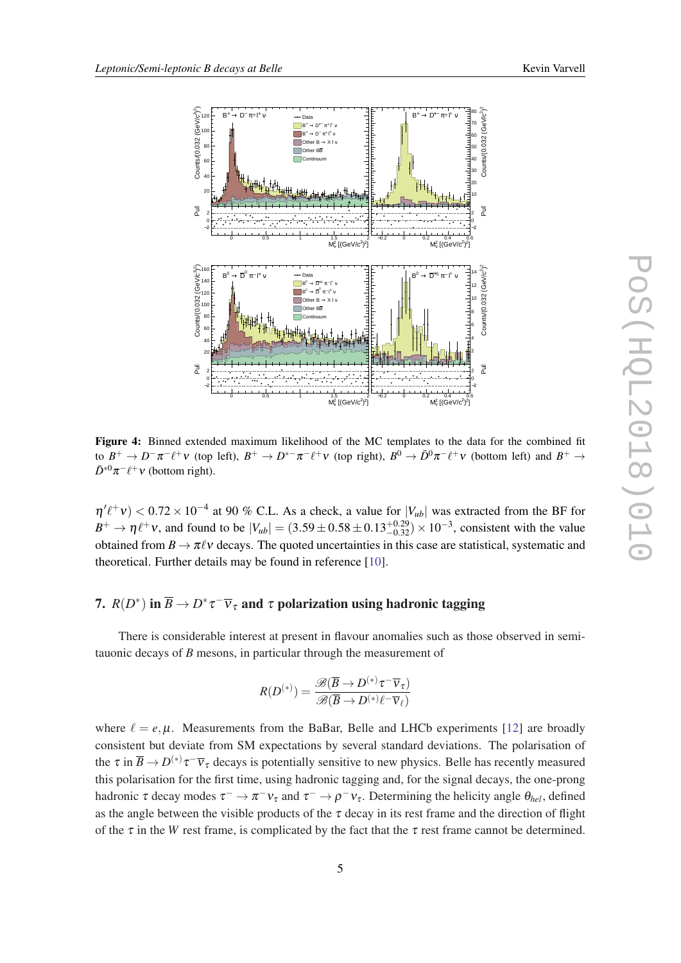<span id="page-5-0"></span>

Figure 4: Binned extended maximum likelihood of the MC templates to the data for the combined fit to  $B^+ \to D^- \pi^- \ell^+ \nu$  (top left),  $B^+ \to D^{*-} \pi^- \ell^+ \nu$  (top right),  $B^0 \to \bar{D}^0 \pi^- \ell^+ \nu$  (bottom left) and  $B^+ \to$  $\bar{D}^{*0}\pi^-\ell^+\nu$  (bottom right).

 $\eta' \ell^+ \nu$ ) < 0.72 × 10<sup>-4</sup> at 90 % C.L. As a check, a value for  $|V_{ub}|$  was extracted from the BF for  $B^+ \to \eta \ell^+ \nu$ , and found to be  $|V_{ub}| = (3.59 \pm 0.58 \pm 0.13^{+0.29}_{-0.32}) \times 10^{-3}$ , consistent with the value obtained from  $B \to \pi \ell \nu$  decays. The quoted uncertainties in this case are statistical, systematic and theoretical. Further details may be found in reference [\[10](#page-7-0)].

## 7.  $R(D^*)$  in  $\overline{B} \to D^* \tau^- \overline{v}_{\tau}$  and  $\tau$  polarization using hadronic tagging

There is considerable interest at present in flavour anomalies such as those observed in semitauonic decays of *B* mesons, in particular through the measurement of

$$
R(D^{(*)}) = \frac{\mathscr{B}(\overline{B} \to D^{(*)}\tau^- \overline{\nu}_\tau)}{\mathscr{B}(\overline{B} \to D^{(*)}\ell^- \overline{\nu}_\ell)}
$$

where  $\ell = e, \mu$ . Measurements from the BaBar, Belle and LHCb experiments [[12\]](#page-7-0) are broadly consistent but deviate from SM expectations by several standard deviations. The polarisation of the  $\tau$  in  $\overline{B} \to D^{(*)}\tau^- \overline{v}_{\tau}$  decays is potentially sensitive to new physics. Belle has recently measured this polarisation for the first time, using hadronic tagging and, for the signal decays, the one-prong hadronic  $\tau$  decay modes  $\tau^- \to \pi^- \nu_{\tau}$  and  $\tau^- \to \rho^- \nu_{\tau}$ . Determining the helicity angle  $\theta_{hel}$ , defined as the angle between the visible products of the  $\tau$  decay in its rest frame and the direction of flight of the  $\tau$  in the *W* rest frame, is complicated by the fact that the  $\tau$  rest frame cannot be determined.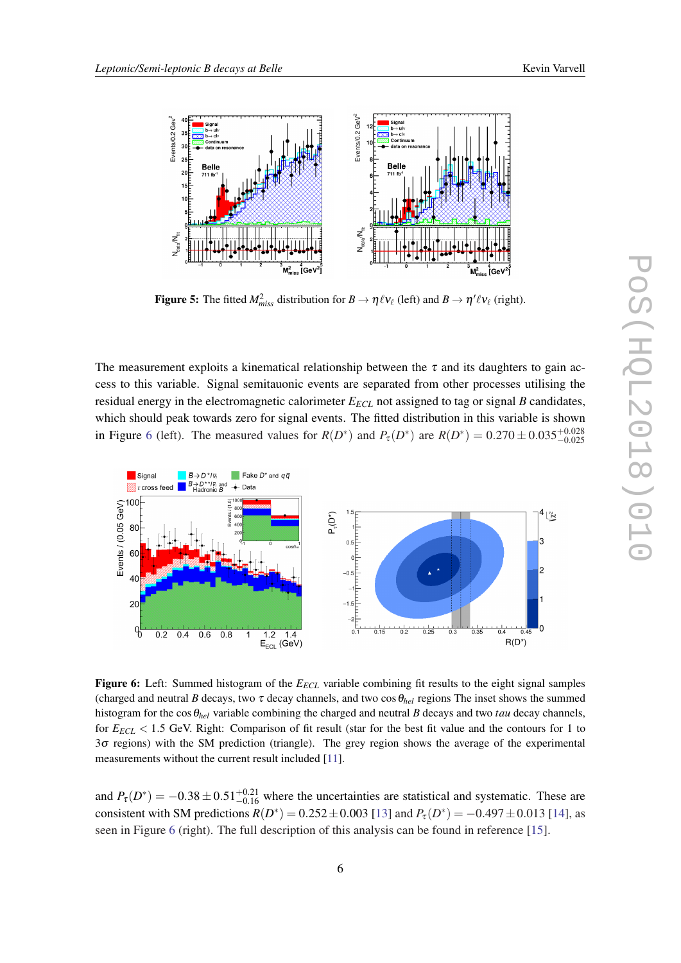



**Figure 5:** The fitted  $M_{miss}^2$  distribution for  $B \to \eta \ell v_{\ell}$  (left) and  $B \to \eta' \ell v_{\ell}$  (right).

The measurement exploits a kinematical relationship between the  $\tau$  and its daughters to gain access to this variable. Signal semitauonic events are separated from other processes utilising the residual energy in the electromagnetic calorimeter *EECL* not assigned to tag or signal *B* candidates, which should peak towards zero for signal events. The fitted distribution in this variable is shown in Figure 6 (left). The measured values for  $R(D^*)$  and  $P_{\tau}(D^*)$  are  $R(D^*) = 0.270 \pm 0.035^{+0.028}_{-0.025}$ 



Figure 6: Left: Summed histogram of the *E<sub>ECL</sub>* variable combining fit results to the eight signal samples (charged and neutral *B* decays, two  $\tau$  decay channels, and two cos  $\theta_{hel}$  regions The inset shows the summed histogram for the  $\cos\theta_{hel}$  variable combining the charged and neutral *B* decays and two *tau* decay channels, for *EECL* < 1.5 GeV. Right: Comparison of fit result (star for the best fit value and the contours for 1 to 3σ regions) with the SM prediction (triangle). The grey region shows the average of the experimental measurements without the current result included [[11\]](#page-7-0).

and  $P_{\tau}(D^*) = -0.38 \pm 0.51^{+0.21}_{-0.16}$  where the uncertainties are statistical and systematic. These are consistent with SM predictions  $R(D^*) = 0.252 \pm 0.003$  [\[13](#page-7-0)] and  $P_\tau(D^*) = -0.497 \pm 0.013$  [\[14\]](#page-7-0), as seen in Figure 6 (right). The full description of this analysis can be found in reference [\[15](#page-7-0)].